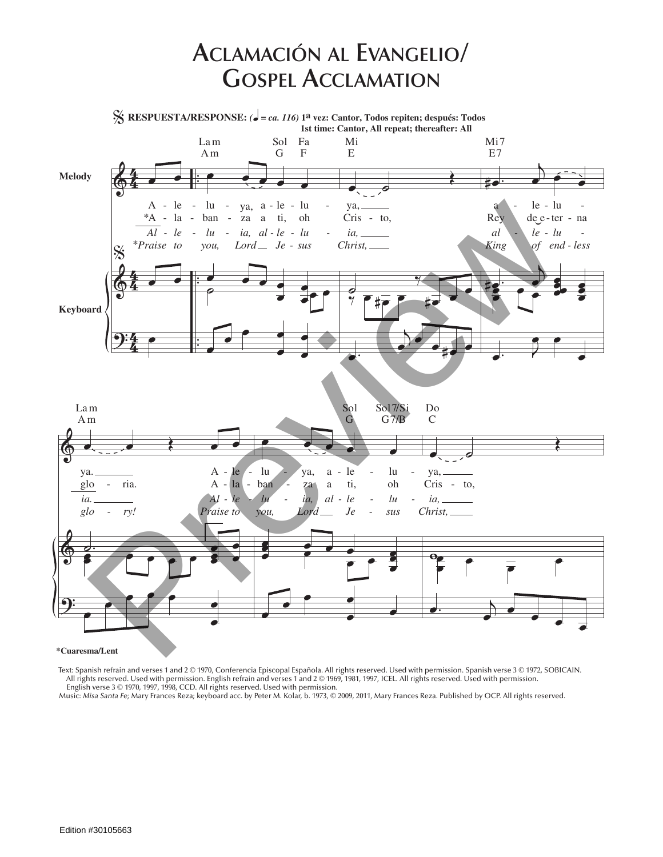## **Aclamación al Evangelio/ Gospel Acclamation**

 $\Phi$  $\Phi$  $\Theta$ 4<br>4 4  $rac{4}{4}$ 4  $rac{4}{4}$ 4 . . . . . . **Keyboard Melody** *Al - le -*  $\mathbf{A}$ *Praise to* **\*** A - **\*** le la -  $\overline{\cdot}$ œ % **RESPUESTA/RESPONSE:** *(*q *= ca. 116)* **1a vez: Cantor, Todos repiten; después: Todos**  $% \frac{1}{2}$ e e e e e *lu*  lu ban *you,* ya, *ia, al - le - lu*  za *Lord* a - le a ti, *Je - sus* lu oh œ œ œ œ œ œ œ ˙ œ œ œ œ  $\bullet$ œ œ œ Am G F Lam Sol Fa  $\bullet$   $\bullet$ Œ ya, *ia,* Cris - to, *Christ,*  $\overline{\bullet}$ ‰  $\frac{1}{2}$   $\frac{1}{2}$ œ  $\frac{1}{\sqrt[n]{\frac{1}{n}+\frac{1}{n}}}$ œ.  $\overline{D}$ œ œ  $\frac{1}{2}$   $\frac{1}{2}$   $\frac{1}{2}$   $\frac{1}{2}$   $\frac{1}{2}$   $\frac{1}{2}$   $\frac{1}{2}$   $\frac{1}{2}$   $\frac{1}{2}$   $\frac{1}{2}$   $\frac{1}{2}$   $\frac{1}{2}$   $\frac{1}{2}$   $\frac{1}{2}$   $\frac{1}{2}$   $\frac{1}{2}$   $\frac{1}{2}$   $\frac{1}{2}$   $\frac{1}{2}$   $\frac{1}{2}$   $\frac{1}{2}$   $\frac{1}{2}$  E Mi **1st time: Cantor, All repeat; thereafter: All**  $\overrightarrow{e}$ .  $\frac{1}{2}$  $\mathbf{a}$ *al -* Rey *King* le *le - lu*  de e - ter - na *of end - less* lu - **.**  $\frac{1}{2}$ e<br>E  $\frac{2}{\sigma}$ œ ě<br>O e<br>Po ě<br>P e<br>E  $\cdot$  J  $\overline{\mathbf{e}}$ œ E7 Mi7  $\Phi$  $\Phi$  $\Theta$  $\bullet$   $\bullet$   $\bullet$ ya. *ia.* glo *glo*  ria. *ry!*  $\mathbf{A}$ *Al -* A - *Praise to* le *le -*  $1a \overline{\phantom{a}}$ . œ œ œ ⊘<br>S  $\frac{a}{2}$   $\frac{a}{2}$   $\frac{a}{2}$   $\frac{a}{2}$   $\frac{a}{2}$ œ œ œ œ œ œ œ Am Lam <u>e e de la c</u> *lu*  lu ban *you,* ya, *ia,* za *Lord* a *al*  a le *le*  ti, *Je*  lu *lu*  oh *sus* œ œ è<br>O  $\frac{e}{2}$   $\frac{e}{2}$   $\frac{e}{2}$ e<br>e<br>e e<br>C e<br>E P œ œ  $\overline{\mathbf{e}}$  $\frac{1}{\epsilon}$  $G$   $7/B$ Sol Sol7/Si  $\overline{\bullet}$   $\overline{\phantom{0}}$ Œ ya, *ia,* Cris - to, *Christ,* wœ e<br>P œ œ œ  $\overline{a}$ . œ œ  $\bullet$   $\bullet$   $\bullet$ C Do  $\frac{A}{\lambda} = \frac{1}{12}$  and  $\frac{A}{\lambda} = \frac{1}{12}$  by  $\lambda = \frac{1}{12}$  and  $\lambda = \frac{1}{12}$  by  $\lambda = \frac{1}{12}$  by  $\lambda = \frac{1}{12}$  by  $\lambda = \frac{1}{12}$  by  $\lambda = \frac{1}{12}$  by  $\lambda = \frac{1}{12}$  by  $\lambda = \frac{1}{12}$  by  $\lambda = \frac{1}{12}$  by  $\lambda = \frac{1}{12}$  by  $\lambda$ 

**\*Cuaresma/Lent**

Text: Spanish refrain and verses 1 and 2 © 1970, Conferencia Episcopal Española. All rights reserved. Used with permission. Spanish verse 3 © 1972, SOBICAIN. All rights reserved. Used with permission. English refrain and verses 1 and 2 © 1969, 1981, 1997, ICEL. All rights reserved. Used with permission. English verse 3 © 1970, 1997, 1998, CCD. All rights reserved. Used with permission.

Music: *Misa Santa Fe;* Mary Frances Reza; keyboard acc. by Peter M. Kolar, b. 1973, © 2009, 2011, Mary Frances Reza. Published by OCP. All rights reserved.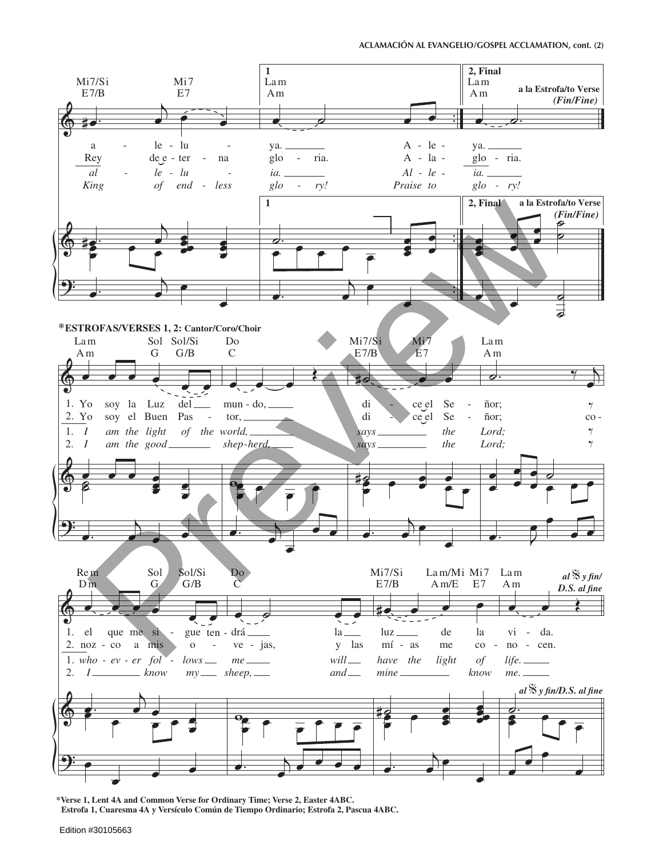## ACLAMACIÓN AL EVANGELIO/GOSPEL ACCLAMATION, cont. (2)



\*Verse 1, Lent 4A and Common Verse for Ordinary Time; Verse 2, Easter 4ABC. Estrofa 1, Cuaresma 4A y Versículo Común de Tiempo Ordinario; Estrofa 2, Pascua 4ABC.